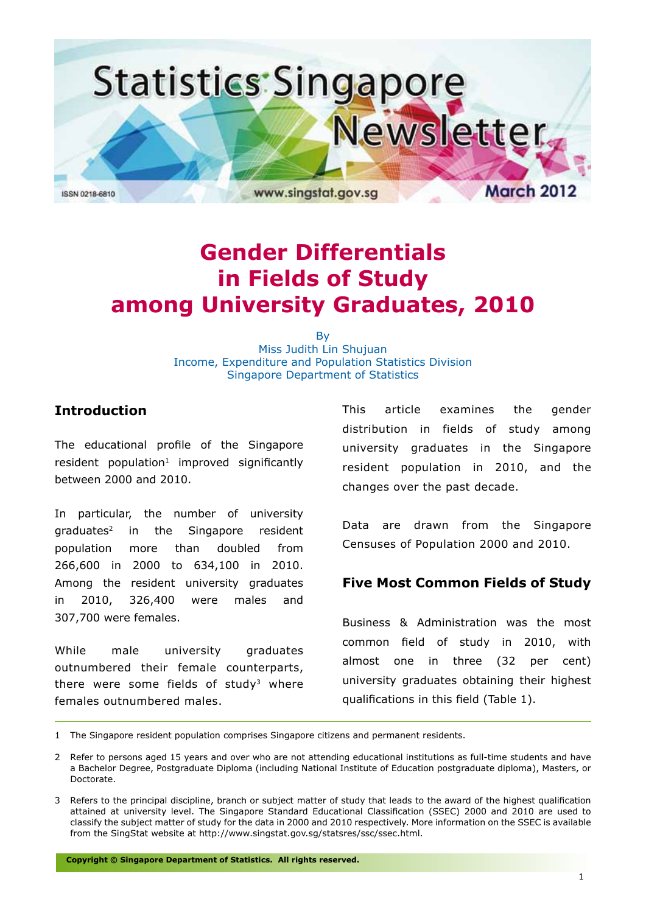

# **Gender Differentials in Fields of Study among University Graduates, 2010**

**B** Miss Judith Lin Shujuan Income, Expenditure and Population Statistics Division Singapore Department of Statistics

# **Introduction**

The educational profile of the Singapore  $resident$  population<sup>1</sup> improved significantly between 2000 and 2010.

In particular, the number of university graduates2 in the Singapore resident population more than doubled from 266,600 in 2000 to 634,100 in 2010. Among the resident university graduates in 2010, 326,400 were males and 307,700 were females.

While male university graduates outnumbered their female counterparts, there were some fields of study<sup>3</sup> where females outnumbered males.

This article examines the gender distribution in fields of study among university graduates in the Singapore resident population in 2010, and the changes over the past decade.

Data are drawn from the Singapore Censuses of Population 2000 and 2010.

# **Five Most Common Fields of Study**

Business & Administration was the most common field of study in 2010, with almost one in three (32 per cent) university graduates obtaining their highest qualifications in this field (Table 1).

1 The Singapore resident population comprises Singapore citizens and permanent residents.

**Copyright © Singapore Department of Statistics. All rights reserved.**

<sup>2</sup> Refer to persons aged 15 years and over who are not attending educational institutions as full-time students and have a Bachelor Degree, Postgraduate Diploma (including National Institute of Education postgraduate diploma), Masters, or Doctorate.

<sup>3</sup> Refers to the principal discipline, branch or subject matter of study that leads to the award of the highest qualification attained at university level. The Singapore Standard Educational Classification (SSEC) 2000 and 2010 are used to classify the subject matter of study for the data in 2000 and 2010 respectively. More information on the SSEC is available from the SingStat website at http://www.singstat.gov.sg/statsres/ssc/ssec.html.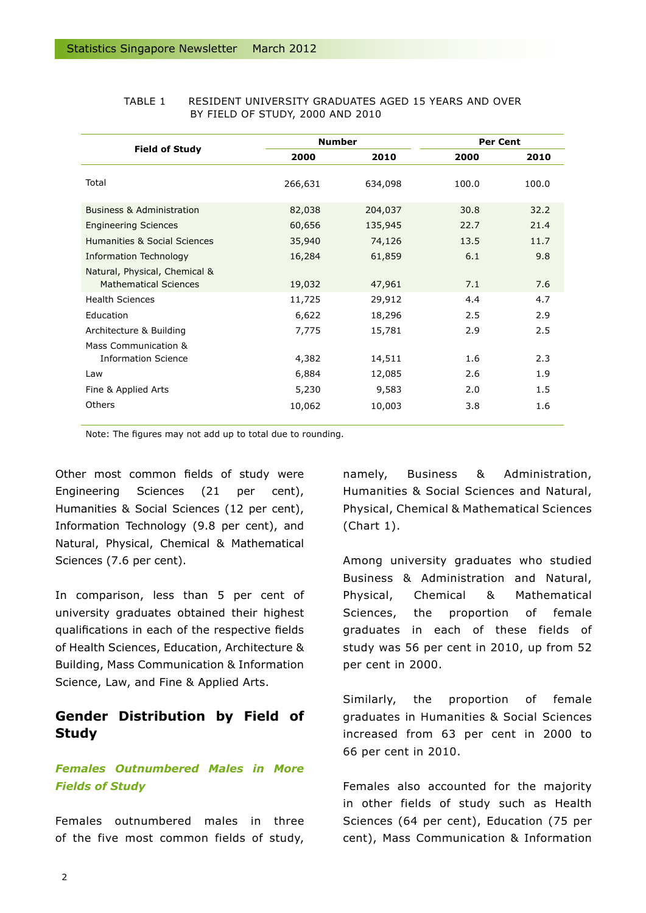|                                                               | <b>Number</b> |         | <b>Per Cent</b> |       |
|---------------------------------------------------------------|---------------|---------|-----------------|-------|
| <b>Field of Study</b>                                         | 2000          | 2010    | 2000            | 2010  |
| Total                                                         | 266,631       | 634,098 | 100.0           | 100.0 |
| <b>Business &amp; Administration</b>                          | 82,038        | 204,037 | 30.8            | 32.2  |
| <b>Engineering Sciences</b>                                   | 60,656        | 135,945 | 22.7            | 21.4  |
| Humanities & Social Sciences                                  | 35,940        | 74,126  | 13.5            | 11.7  |
| Information Technology                                        | 16,284        | 61,859  | 6.1             | 9.8   |
| Natural, Physical, Chemical &<br><b>Mathematical Sciences</b> | 19,032        | 47,961  | 7.1             | 7.6   |
| <b>Health Sciences</b>                                        | 11,725        | 29,912  | 4.4             | 4.7   |
| Education                                                     | 6,622         | 18,296  | 2.5             | 2.9   |
| Architecture & Building                                       | 7,775         | 15,781  | 2.9             | 2.5   |
| Mass Communication &                                          |               |         |                 |       |
| <b>Information Science</b>                                    | 4,382         | 14,511  | 1.6             | 2.3   |
| Law                                                           | 6,884         | 12,085  | 2.6             | 1.9   |
| Fine & Applied Arts                                           | 5,230         | 9,583   | 2.0             | 1.5   |
| Others                                                        | 10,062        | 10,003  | 3.8             | 1.6   |

#### TABLE 1 RESIDENT UNIVERSITY GRADUATES AGED 15 YEARS AND OVER BY FIELD OF STUDY, 2000 AND 2010

Note: The figures may not add up to total due to rounding.

Other most common fields of study were Engineering Sciences (21 per cent), Humanities & Social Sciences (12 per cent), Information Technology (9.8 per cent), and Natural, Physical, Chemical & Mathematical Sciences (7.6 per cent).

In comparison, less than 5 per cent of university graduates obtained their highest qualifications in each of the respective fields of Health Sciences, Education, Architecture & Building, Mass Communication & Information Science, Law, and Fine & Applied Arts.

# **Gender Distribution by Field of Study**

# *Females Outnumbered Males in More Fields of Study*

Females outnumbered males in three of the five most common fields of study, namely, Business & Administration, Humanities & Social Sciences and Natural, Physical, Chemical & Mathematical Sciences (Chart 1).

Among university graduates who studied Business & Administration and Natural, Physical, Chemical & Mathematical Sciences, the proportion of female graduates in each of these fields of study was 56 per cent in 2010, up from 52 per cent in 2000.

Similarly, the proportion of female graduates in Humanities & Social Sciences increased from 63 per cent in 2000 to 66 per cent in 2010.

Females also accounted for the majority in other fields of study such as Health Sciences (64 per cent), Education (75 per cent), Mass Communication & Information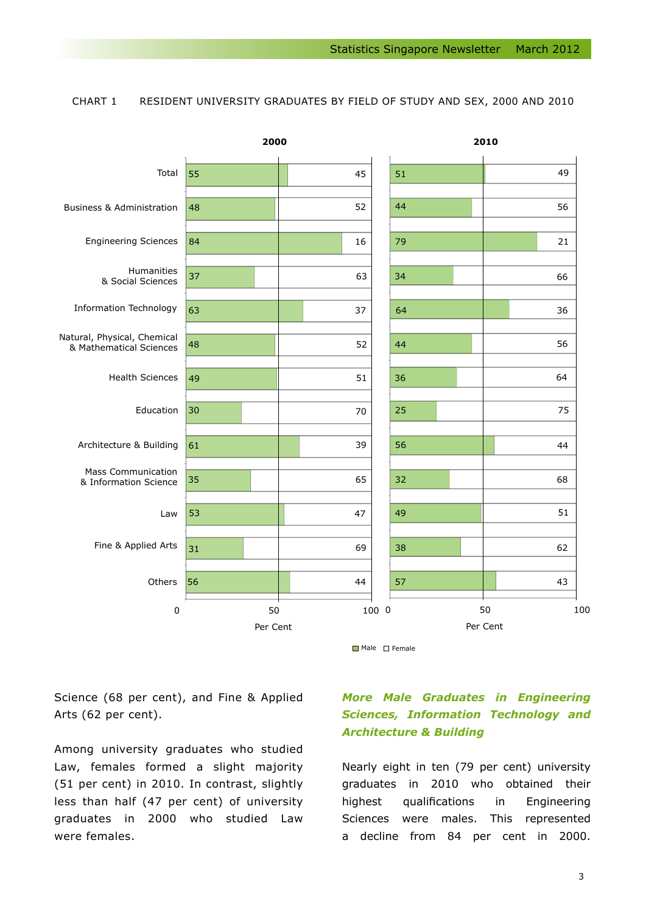#### CHART 1 RESIDENT UNIVERSITY GRADUATES BY FIELD OF STUDY AND SEX, 2000 AND 2010



Science (68 per cent), and Fine & Applied Arts (62 per cent).

Among university graduates who studied Law, females formed a slight majority (51 per cent) in 2010. In contrast, slightly less than half (47 per cent) of university graduates in 2000 who studied Law were females.

# *More Male Graduates in Engineering Sciences, Information Technology and Architecture & Building*

Nearly eight in ten (79 per cent) university graduates in 2010 who obtained their highest qualifications in Engineering Sciences were males. This represented a decline from 84 per cent in 2000.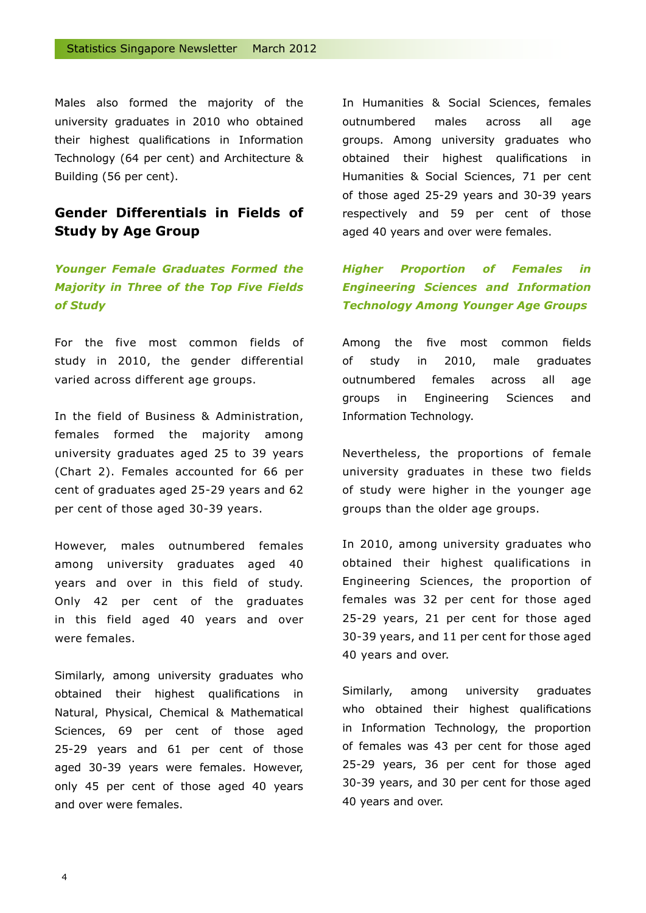Males also formed the majority of the university graduates in 2010 who obtained their highest qualifications in Information Technology (64 per cent) and Architecture & Building (56 per cent).

# **Gender Differentials in Fields of Study by Age Group**

# *Younger Female Graduates Formed the Majority in Three of the Top Five Fields of Study*

For the five most common fields of study in 2010, the gender differential varied across different age groups.

In the field of Business & Administration, females formed the majority among university graduates aged 25 to 39 years (Chart 2). Females accounted for 66 per cent of graduates aged 25-29 years and 62 per cent of those aged 30-39 years.

However, males outnumbered females among university graduates aged 40 years and over in this field of study. Only 42 per cent of the graduates in this field aged 40 years and over were females.

Similarly, among university graduates who obtained their highest qualifications in Natural, Physical, Chemical & Mathematical Sciences, 69 per cent of those aged 25-29 years and 61 per cent of those aged 30-39 years were females. However, only 45 per cent of those aged 40 years and over were females.

In Humanities & Social Sciences, females outnumbered males across all age groups. Among university graduates who obtained their highest qualifications in Humanities & Social Sciences, 71 per cent of those aged 25-29 years and 30-39 years respectively and 59 per cent of those aged 40 years and over were females.

# *Higher Proportion of Females in Engineering Sciences and Information Technology Among Younger Age Groups*

Among the five most common fields of study in 2010, male graduates outnumbered females across all age groups in Engineering Sciences and Information Technology.

Nevertheless, the proportions of female university graduates in these two fields of study were higher in the younger age groups than the older age groups.

In 2010, among university graduates who obtained their highest qualifications in Engineering Sciences, the proportion of females was 32 per cent for those aged 25-29 years, 21 per cent for those aged 30-39 years, and 11 per cent for those aged 40 years and over.

Similarly, among university graduates who obtained their highest qualifications in Information Technology, the proportion of females was 43 per cent for those aged 25-29 years, 36 per cent for those aged 30-39 years, and 30 per cent for those aged 40 years and over.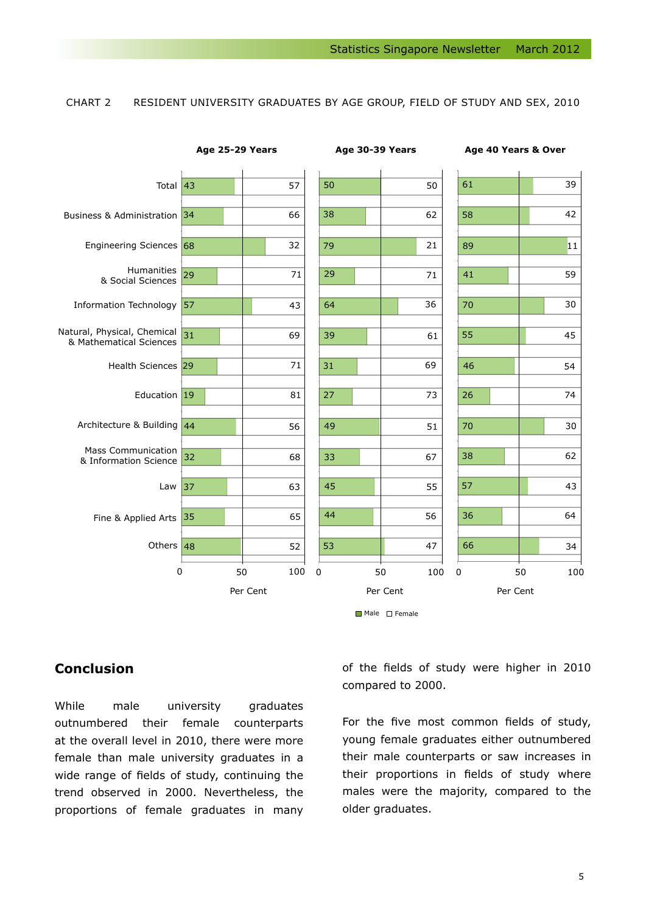### CHART 2 RESIDENT UNIVERSITY GRADUATES BY AGE GROUP, FIELD OF STUDY AND SEX, 2010



## **Conclusion**

While male university graduates outnumbered their female counterparts at the overall level in 2010, there were more female than male university graduates in a wide range of fields of study, continuing the trend observed in 2000. Nevertheless, the proportions of female graduates in many

of the fields of study were higher in 2010 compared to 2000.

For the five most common fields of study, young female graduates either outnumbered their male counterparts or saw increases in their proportions in fields of study where males were the majority, compared to the older graduates.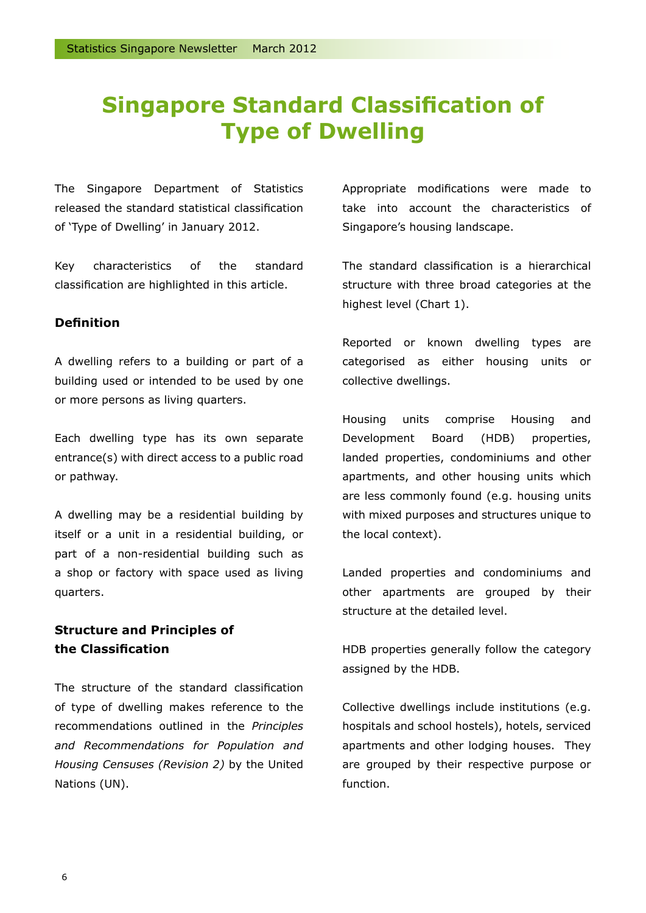# **Singapore Standard Classification of Type of Dwelling**

The Singapore Department of Statistics released the standard statistical classification of 'Type of Dwelling' in January 2012.

Key characteristics of the standard classification are highlighted in this article.

### **Definition**

A dwelling refers to a building or part of a building used or intended to be used by one or more persons as living quarters.

Each dwelling type has its own separate entrance(s) with direct access to a public road or pathway.

A dwelling may be a residential building by itself or a unit in a residential building, or part of a non-residential building such as a shop or factory with space used as living quarters.

# **Structure and Principles of the Classification**

The structure of the standard classification of type of dwelling makes reference to the recommendations outlined in the *Principles and Recommendations for Population and Housing Censuses (Revision 2)* by the United Nations (UN).

Appropriate modifications were made to take into account the characteristics of Singapore's housing landscape.

The standard classification is a hierarchical structure with three broad categories at the highest level (Chart 1).

Reported or known dwelling types are categorised as either housing units or collective dwellings.

Housing units comprise Housing and Development Board (HDB) properties, landed properties, condominiums and other apartments, and other housing units which are less commonly found (e.g. housing units with mixed purposes and structures unique to the local context).

Landed properties and condominiums and other apartments are grouped by their structure at the detailed level.

HDB properties generally follow the category assigned by the HDB.

Collective dwellings include institutions (e.g. hospitals and school hostels), hotels, serviced apartments and other lodging houses. They are grouped by their respective purpose or function.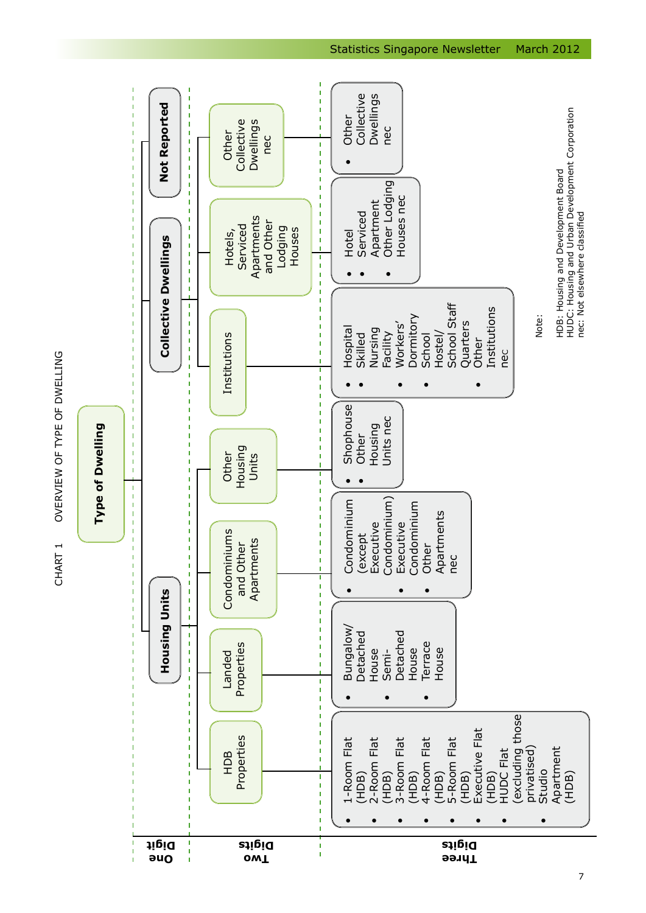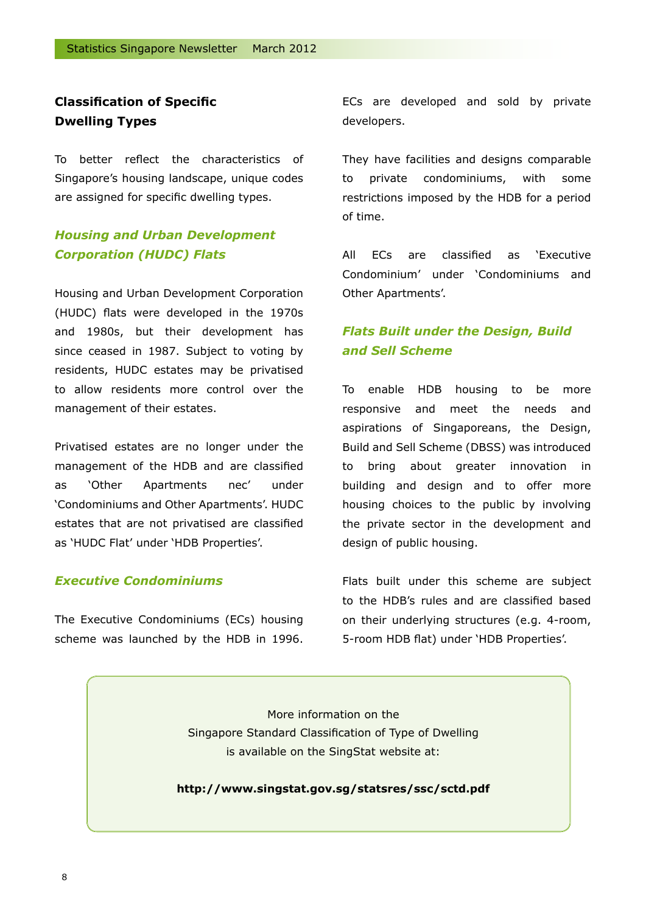# **Classification of Specific Dwelling Types**

To better reflect the characteristics of Singapore's housing landscape, unique codes are assigned for specific dwelling types.

# *Housing and Urban Development Corporation (HUDC) Flats*

Housing and Urban Development Corporation (HUDC) flats were developed in the 1970s and 1980s, but their development has since ceased in 1987. Subject to voting by residents, HUDC estates may be privatised to allow residents more control over the management of their estates.

Privatised estates are no longer under the management of the HDB and are classified as 'Other Apartments nec' under 'Condominiums and Other Apartments'. HUDC estates that are not privatised are classified as 'HUDC Flat' under 'HDB Properties'.

#### *Executive Condominiums*

The Executive Condominiums (ECs) housing scheme was launched by the HDB in 1996.

ECs are developed and sold by private developers.

They have facilities and designs comparable to private condominiums, with some restrictions imposed by the HDB for a period of time.

All ECs are classified as 'Executive Condominium' under 'Condominiums and Other Apartments'.

# *Flats Built under the Design, Build and Sell Scheme*

To enable HDB housing to be more responsive and meet the needs and aspirations of Singaporeans, the Design, Build and Sell Scheme (DBSS) was introduced to bring about greater innovation in building and design and to offer more housing choices to the public by involving the private sector in the development and design of public housing.

Flats built under this scheme are subject to the HDB's rules and are classified based on their underlying structures (e.g. 4-room, 5-room HDB flat) under 'HDB Properties'.

More information on the Singapore Standard Classification of Type of Dwelling is available on the SingStat website at:

**http://www.singstat.gov.sg/statsres/ssc/sctd.pdf**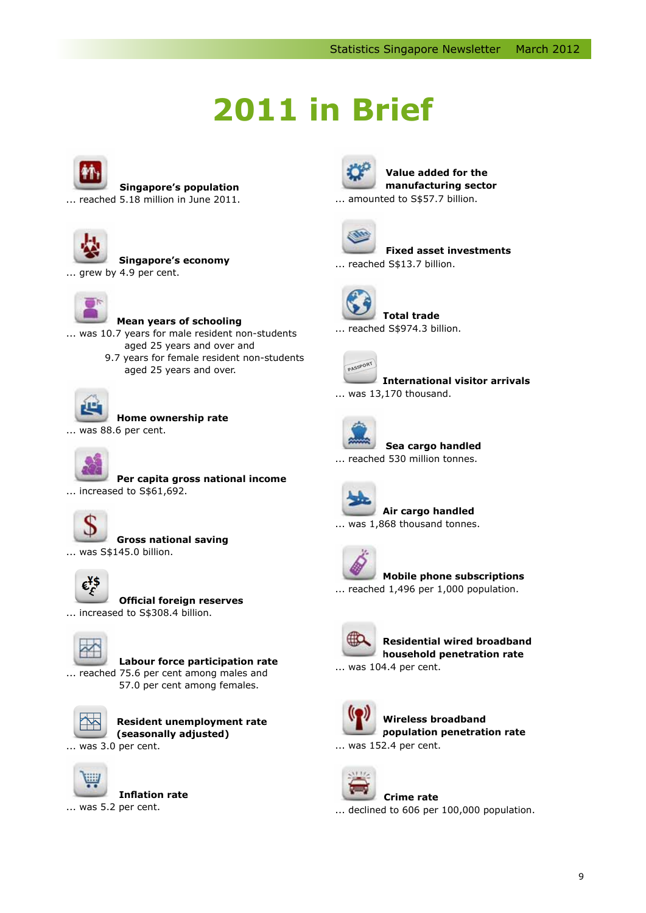# **2011 in Brief**



**Singapore's population**

... reached 5.18 million in June 2011.



 **Singapore's economy** ... grew by 4.9 per cent.



**Mean years of schooling**

... was 10.7 years for male resident non-students aged 25 years and over and 9.7 years for female resident non-students

aged 25 years and over.



**Home ownership rate**

... was 88.6 per cent.



 **Per capita gross national income** ... increased to S\$61,692.



**Gross national saving**

... was S\$145.0 billion.



**Official foreign reserves**

... increased to S\$308.4 billion.



 **Labour force participation rate** ... reached 75.6 per cent among males and 57.0 per cent among females.



**Resident unemployment rate (seasonally adjusted)** ... was 3.0 per cent.



 **Inflation rate** ... was 5.2 per cent.



 **Value added for the manufacturing sector**

... amounted to S\$57.7 billion.





 **Fixed asset investments** ... reached S\$13.7 billion.



 **Total trade** ... reached S\$974.3 billion.



 **International visitor arrivals** ... was 13,170 thousand.



**Sea cargo handled**

... reached 530 million tonnes.



 **Air cargo handled** ... was 1,868 thousand tonnes.



### **Mobile phone subscriptions**

... reached 1,496 per 1,000 population.



 **Residential wired broadband household penetration rate** ... was 104.4 per cent.



 **Wireless broadband population penetration rate** ... was 152.4 per cent.

#### **Crime rate**

... declined to 606 per 100,000 population.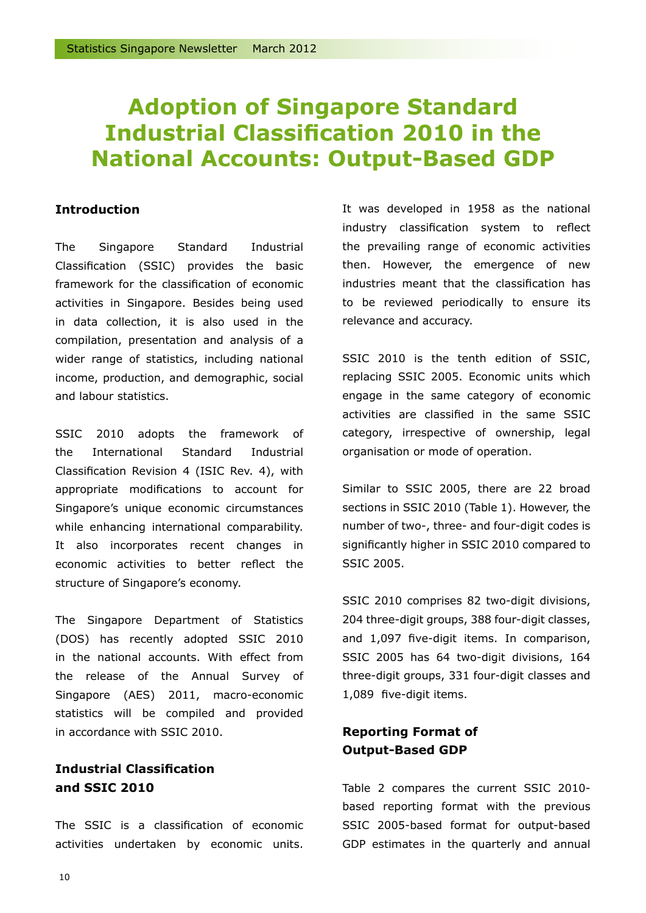# **Adoption of Singapore Standard Industrial Classification 2010 in the National Accounts: Output-Based GDP**

### **Introduction**

The Singapore Standard Industrial Classification (SSIC) provides the basic framework for the classification of economic activities in Singapore. Besides being used in data collection, it is also used in the compilation, presentation and analysis of a wider range of statistics, including national income, production, and demographic, social and labour statistics.

SSIC 2010 adopts the framework of the International Standard Industrial Classification Revision 4 (ISIC Rev. 4), with appropriate modifications to account for Singapore's unique economic circumstances while enhancing international comparability. It also incorporates recent changes in economic activities to better reflect the structure of Singapore's economy.

The Singapore Department of Statistics (DOS) has recently adopted SSIC 2010 in the national accounts. With effect from the release of the Annual Survey of Singapore (AES) 2011, macro-economic statistics will be compiled and provided in accordance with SSIC 2010.

# **Industrial Classification and SSIC 2010**

The SSIC is a classification of economic activities undertaken by economic units. It was developed in 1958 as the national industry classification system to reflect the prevailing range of economic activities then. However, the emergence of new industries meant that the classification has to be reviewed periodically to ensure its relevance and accuracy.

SSIC 2010 is the tenth edition of SSIC, replacing SSIC 2005. Economic units which engage in the same category of economic activities are classified in the same SSIC category, irrespective of ownership, legal organisation or mode of operation.

Similar to SSIC 2005, there are 22 broad sections in SSIC 2010 (Table 1). However, the number of two-, three- and four-digit codes is significantly higher in SSIC 2010 compared to SSIC 2005.

SSIC 2010 comprises 82 two-digit divisions, 204 three-digit groups, 388 four-digit classes, and 1,097 five-digit items. In comparison, SSIC 2005 has 64 two-digit divisions, 164 three-digit groups, 331 four-digit classes and 1,089 five-digit items.

# **Reporting Format of Output-Based GDP**

Table 2 compares the current SSIC 2010 based reporting format with the previous SSIC 2005-based format for output-based GDP estimates in the quarterly and annual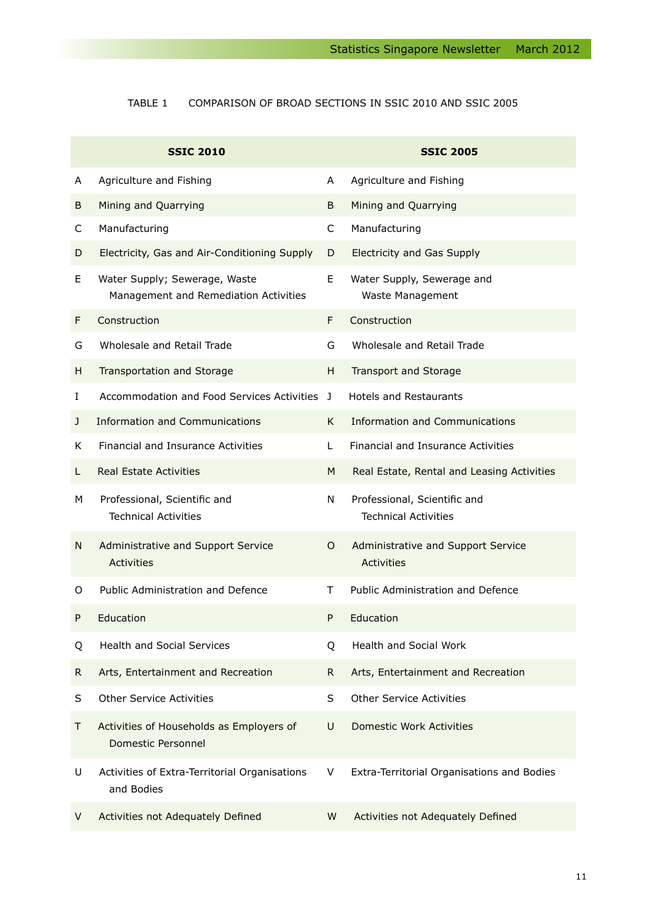### Table 1 Comparison of broad sections in SSIC 2010 and SSIC 2005

|    | <b>SSIC 2010</b>                                                       |    | <b>SSIC 2005</b>                                            |
|----|------------------------------------------------------------------------|----|-------------------------------------------------------------|
| A  | Agriculture and Fishing                                                | A  | Agriculture and Fishing                                     |
| В  | Mining and Quarrying                                                   | B  | Mining and Quarrying                                        |
| C  | Manufacturing                                                          | C  | Manufacturing                                               |
| D  | Electricity, Gas and Air-Conditioning Supply                           | D  | <b>Electricity and Gas Supply</b>                           |
| E  | Water Supply; Sewerage, Waste<br>Management and Remediation Activities | E  | Water Supply, Sewerage and<br>Waste Management              |
| F  | Construction                                                           | F  | Construction                                                |
| G  | Wholesale and Retail Trade                                             | G  | Wholesale and Retail Trade                                  |
| H  | Transportation and Storage                                             | H  | Transport and Storage                                       |
| I  | Accommodation and Food Services Activities J                           |    | <b>Hotels and Restaurants</b>                               |
| J  | <b>Information and Communications</b>                                  | K. | Information and Communications                              |
| K. | <b>Financial and Insurance Activities</b>                              | L  | Financial and Insurance Activities                          |
| L. | <b>Real Estate Activities</b>                                          | M  | Real Estate, Rental and Leasing Activities                  |
| м  | Professional, Scientific and<br><b>Technical Activities</b>            | N  | Professional, Scientific and<br><b>Technical Activities</b> |
| N  | Administrative and Support Service<br>Activities                       | O  | Administrative and Support Service<br><b>Activities</b>     |
| 0  | Public Administration and Defence                                      | T. | Public Administration and Defence                           |
| P  | Education                                                              | P  | Education                                                   |
| Q  | <b>Health and Social Services</b>                                      | Q  | <b>Health and Social Work</b>                               |
| R. | Arts, Entertainment and Recreation                                     | R. | Arts, Entertainment and Recreation                          |
| S  | <b>Other Service Activities</b>                                        | S  | <b>Other Service Activities</b>                             |
| Τ  | Activities of Households as Employers of<br>Domestic Personnel         | U  | Domestic Work Activities                                    |
| U  | Activities of Extra-Territorial Organisations<br>and Bodies            | V  | Extra-Territorial Organisations and Bodies                  |
| V  | Activities not Adequately Defined                                      | W  | Activities not Adequately Defined                           |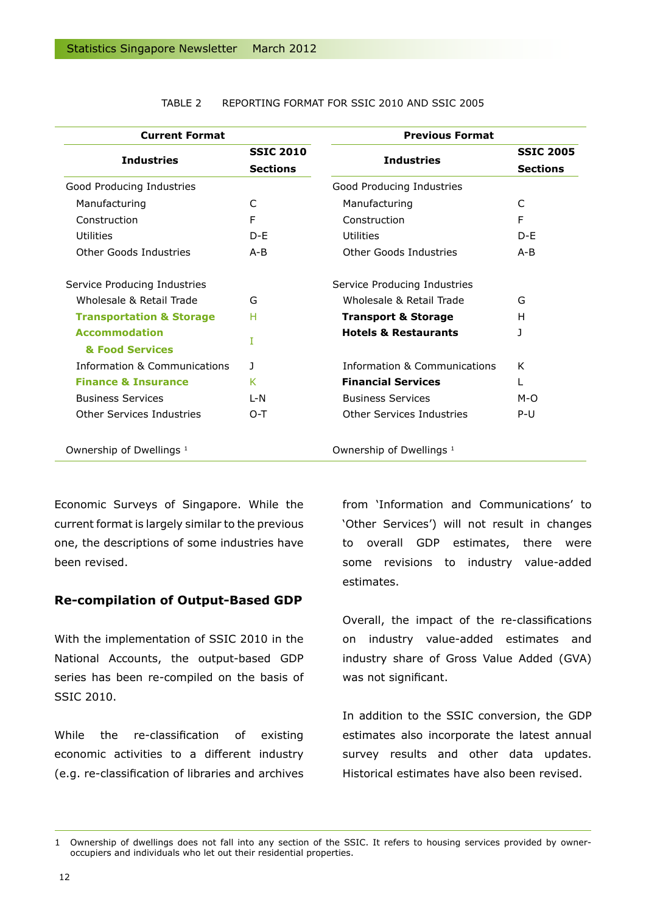| <b>Current Format</b>                   |                                     | <b>Previous Format</b>              |                                     |
|-----------------------------------------|-------------------------------------|-------------------------------------|-------------------------------------|
| <b>Industries</b>                       | <b>SSIC 2010</b><br><b>Sections</b> | <b>Industries</b>                   | <b>SSIC 2005</b><br><b>Sections</b> |
| Good Producing Industries               |                                     | Good Producing Industries           |                                     |
| Manufacturing                           | C                                   | Manufacturing                       | C                                   |
| Construction                            | F                                   | Construction                        | F                                   |
| Utilities                               | $D - F$                             | Utilities                           | D-F                                 |
| Other Goods Industries                  | $A - B$                             | Other Goods Industries              | $A - B$                             |
| Service Producing Industries            |                                     | Service Producing Industries        |                                     |
| Wholesale & Retail Trade                | G                                   | Wholesale & Retail Trade            | G                                   |
| <b>Transportation &amp; Storage</b>     | н                                   | <b>Transport &amp; Storage</b>      | н                                   |
| <b>Accommodation</b><br>& Food Services | T                                   | <b>Hotels &amp; Restaurants</b>     | J                                   |
| Information & Communications            | J                                   | Information & Communications        | K                                   |
| <b>Finance &amp; Insurance</b>          | K                                   | <b>Financial Services</b>           | L                                   |
| <b>Business Services</b>                | $L-N$                               | <b>Business Services</b>            | M-O                                 |
| Other Services Industries               | $O-T$                               | Other Services Industries           | P-U                                 |
| Ownership of Dwellings <sup>1</sup>     |                                     | Ownership of Dwellings <sup>1</sup> |                                     |

#### Table 2 Reporting format for SSIC 2010 and SSIC 2005

Economic Surveys of Singapore. While the current format is largely similar to the previous one, the descriptions of some industries have been revised.

#### **Re-compilation of Output-Based GDP**

With the implementation of SSIC 2010 in the National Accounts, the output-based GDP series has been re-compiled on the basis of SSIC 2010.

While the re-classification of existing economic activities to a different industry (e.g. re-classification of libraries and archives

from 'Information and Communications' to 'Other Services') will not result in changes to overall GDP estimates, there were some revisions to industry value-added estimates.

Overall, the impact of the re-classifications on industry value-added estimates and industry share of Gross Value Added (GVA) was not significant.

In addition to the SSIC conversion, the GDP estimates also incorporate the latest annual survey results and other data updates. Historical estimates have also been revised.

<sup>1</sup> Ownership of dwellings does not fall into any section of the SSIC. It refers to housing services provided by owneroccupiers and individuals who let out their residential properties.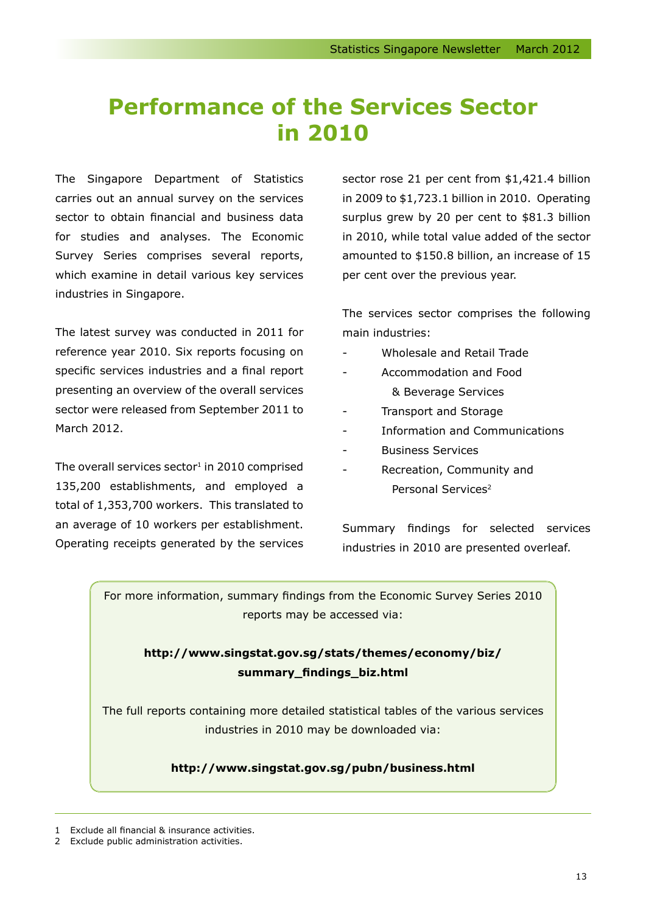# **Performance of the Services Sector in 2010**

The Singapore Department of Statistics carries out an annual survey on the services sector to obtain financial and business data for studies and analyses. The Economic Survey Series comprises several reports, which examine in detail various key services industries in Singapore.

The latest survey was conducted in 2011 for reference year 2010. Six reports focusing on specific services industries and a final report presenting an overview of the overall services sector were released from September 2011 to March 2012.

The overall services sector $1$  in 2010 comprised 135,200 establishments, and employed a total of 1,353,700 workers. This translated to an average of 10 workers per establishment. Operating receipts generated by the services sector rose 21 per cent from \$1,421.4 billion in 2009 to \$1,723.1 billion in 2010. Operating surplus grew by 20 per cent to \$81.3 billion in 2010, while total value added of the sector amounted to \$150.8 billion, an increase of 15 per cent over the previous year.

The services sector comprises the following main industries:

- Wholesale and Retail Trade
- Accommodation and Food & Beverage Services
- Transport and Storage
- Information and Communications
- **Business Services**
- Recreation, Community and Personal Services<sup>2</sup>

Summary findings for selected services industries in 2010 are presented overleaf.

For more information, summary findings from the Economic Survey Series 2010 reports may be accessed via:

# **http://www.singstat.gov.sg/stats/themes/economy/biz/ summary\_findings\_biz.html**

The full reports containing more detailed statistical tables of the various services industries in 2010 may be downloaded via:

### **http://www.singstat.gov.sg/pubn/business.html**

Exclude all financial & insurance activities.

2 Exclude public administration activities.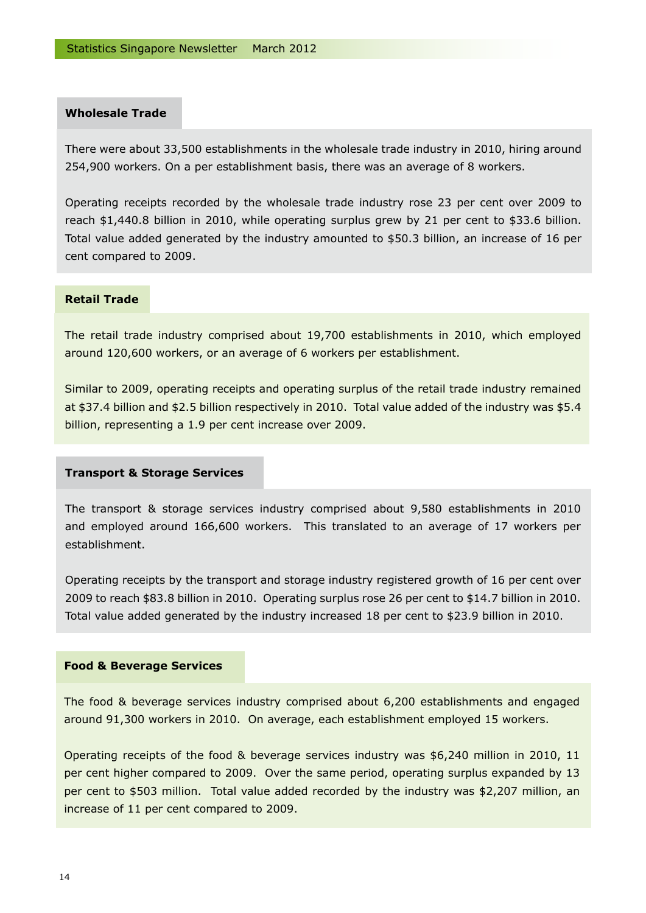### **Wholesale Trade**

There were about 33,500 establishments in the wholesale trade industry in 2010, hiring around 254,900 workers. On a per establishment basis, there was an average of 8 workers.

Operating receipts recorded by the wholesale trade industry rose 23 per cent over 2009 to reach \$1,440.8 billion in 2010, while operating surplus grew by 21 per cent to \$33.6 billion. Total value added generated by the industry amounted to \$50.3 billion, an increase of 16 per cent compared to 2009.

#### **Retail Trade**

The retail trade industry comprised about 19,700 establishments in 2010, which employed around 120,600 workers, or an average of 6 workers per establishment.

Similar to 2009, operating receipts and operating surplus of the retail trade industry remained at \$37.4 billion and \$2.5 billion respectively in 2010. Total value added of the industry was \$5.4 billion, representing a 1.9 per cent increase over 2009.

#### **Transport & Storage Services**

The transport & storage services industry comprised about 9,580 establishments in 2010 and employed around 166,600 workers. This translated to an average of 17 workers per establishment.

Operating receipts by the transport and storage industry registered growth of 16 per cent over 2009 to reach \$83.8 billion in 2010. Operating surplus rose 26 per cent to \$14.7 billion in 2010. Total value added generated by the industry increased 18 per cent to \$23.9 billion in 2010.

#### **Food & Beverage Services**

The food & beverage services industry comprised about 6,200 establishments and engaged around 91,300 workers in 2010. On average, each establishment employed 15 workers.

Operating receipts of the food & beverage services industry was \$6,240 million in 2010, 11 per cent higher compared to 2009. Over the same period, operating surplus expanded by 13 per cent to \$503 million. Total value added recorded by the industry was \$2,207 million, an increase of 11 per cent compared to 2009.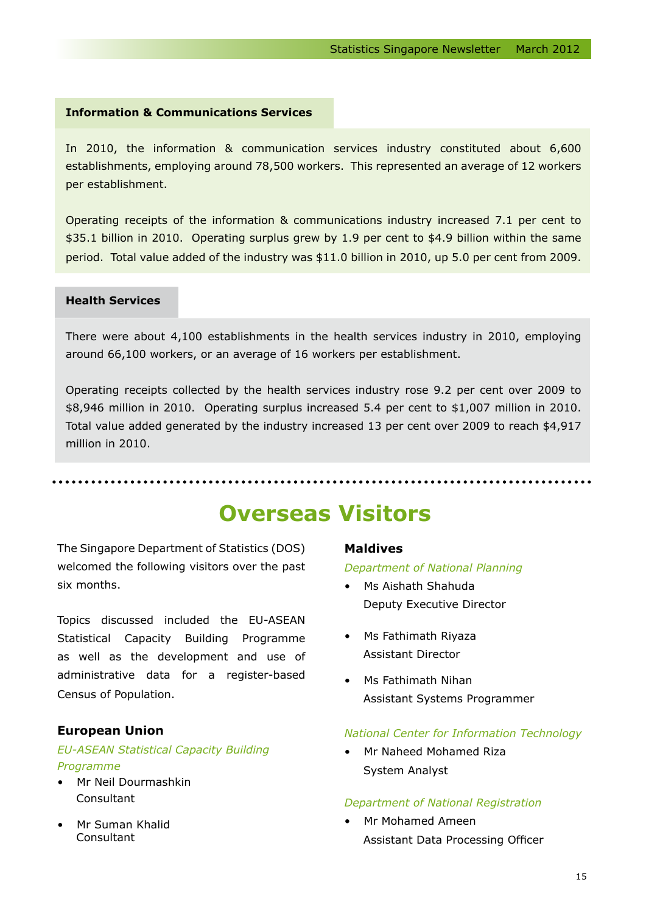### **Information & Communications Services**

In 2010, the information & communication services industry constituted about 6,600 establishments, employing around 78,500 workers. This represented an average of 12 workers per establishment.

Operating receipts of the information & communications industry increased 7.1 per cent to \$35.1 billion in 2010. Operating surplus grew by 1.9 per cent to \$4.9 billion within the same period. Total value added of the industry was \$11.0 billion in 2010, up 5.0 per cent from 2009.

#### **Health Services**

There were about 4,100 establishments in the health services industry in 2010, employing around 66,100 workers, or an average of 16 workers per establishment.

Operating receipts collected by the health services industry rose 9.2 per cent over 2009 to \$8,946 million in 2010. Operating surplus increased 5.4 per cent to \$1,007 million in 2010. Total value added generated by the industry increased 13 per cent over 2009 to reach \$4,917 million in 2010.

# **Overseas Visitors**

The Singapore Department of Statistics (DOS) welcomed the following visitors over the past six months.

Topics discussed included the EU-ASEAN Statistical Capacity Building Programme as well as the development and use of administrative data for a register-based Census of Population.

#### **European Union**

### *EU-ASEAN Statistical Capacity Building Programme*

- • Mr Neil Dourmashkin Consultant
- • Mr Suman Khalid **Consultant**

#### **Maldives**

#### *Department of National Planning*

- • Ms Aishath Shahuda Deputy Executive Director
- • Ms Fathimath Riyaza Assistant Director
- • Ms Fathimath Nihan Assistant Systems Programmer

#### *National Center for Information Technology*

• Mr Naheed Mohamed Riza System Analyst

#### *Department of National Registration*

• Mr Mohamed Ameen Assistant Data Processing Officer